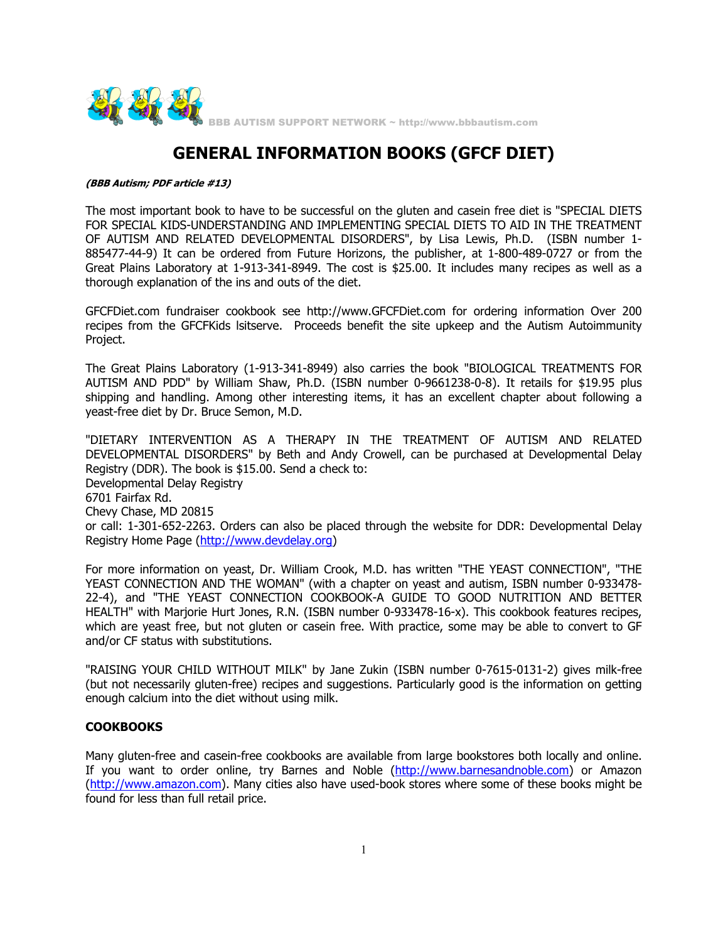

# **GENERAL INFORMATION BOOKS (GFCF DIET)**

#### **(BBB Autism; PDF article #13)**

The most important book to have to be successful on the gluten and casein free diet is "SPECIAL DIETS FOR SPECIAL KIDS-UNDERSTANDING AND IMPLEMENTING SPECIAL DIETS TO AID IN THE TREATMENT OF AUTISM AND RELATED DEVELOPMENTAL DISORDERS", by Lisa Lewis, Ph.D. (ISBN number 1- 885477-44-9) It can be ordered from Future Horizons, the publisher, at 1-800-489-0727 or from the Great Plains Laboratory at 1-913-341-8949. The cost is \$25.00. It includes many recipes as well as a thorough explanation of the ins and outs of the diet.

GFCFDiet.com fundraiser cookbook see http://www.GFCFDiet.com for ordering information Over 200 recipes from the GFCFKids lsitserve. Proceeds benefit the site upkeep and the Autism Autoimmunity Project.

The Great Plains Laboratory (1-913-341-8949) also carries the book "BIOLOGICAL TREATMENTS FOR AUTISM AND PDD" by William Shaw, Ph.D. (ISBN number 0-9661238-0-8). It retails for \$19.95 plus shipping and handling. Among other interesting items, it has an excellent chapter about following a yeast-free diet by Dr. Bruce Semon, M.D.

"DIETARY INTERVENTION AS A THERAPY IN THE TREATMENT OF AUTISM AND RELATED DEVELOPMENTAL DISORDERS" by Beth and Andy Crowell, can be purchased at Developmental Delay Registry (DDR). The book is \$15.00. Send a check to: Developmental Delay Registry 6701 Fairfax Rd. Chevy Chase, MD 20815 or call: 1-301-652-2263. Orders can also be placed through the website for DDR: Developmental Delay Registry Home Page (http://www.devdelay.org)

For more information on yeast, Dr. William Crook, M.D. has written "THE YEAST CONNECTION", "THE YEAST CONNECTION AND THE WOMAN" (with a chapter on yeast and autism, ISBN number 0-933478- 22-4), and "THE YEAST CONNECTION COOKBOOK-A GUIDE TO GOOD NUTRITION AND BETTER HEALTH" with Marjorie Hurt Jones, R.N. (ISBN number 0-933478-16-x). This cookbook features recipes, which are yeast free, but not gluten or casein free. With practice, some may be able to convert to GF and/or CF status with substitutions.

"RAISING YOUR CHILD WITHOUT MILK" by Jane Zukin (ISBN number 0-7615-0131-2) gives milk-free (but not necessarily gluten-free) recipes and suggestions. Particularly good is the information on getting enough calcium into the diet without using milk.

#### **COOKBOOKS**

Many gluten-free and casein-free cookbooks are available from large bookstores both locally and online. If you want to order online, try Barnes and Noble (http://www.barnesandnoble.com) or Amazon (http://www.amazon.com). Many cities also have used-book stores where some of these books might be found for less than full retail price.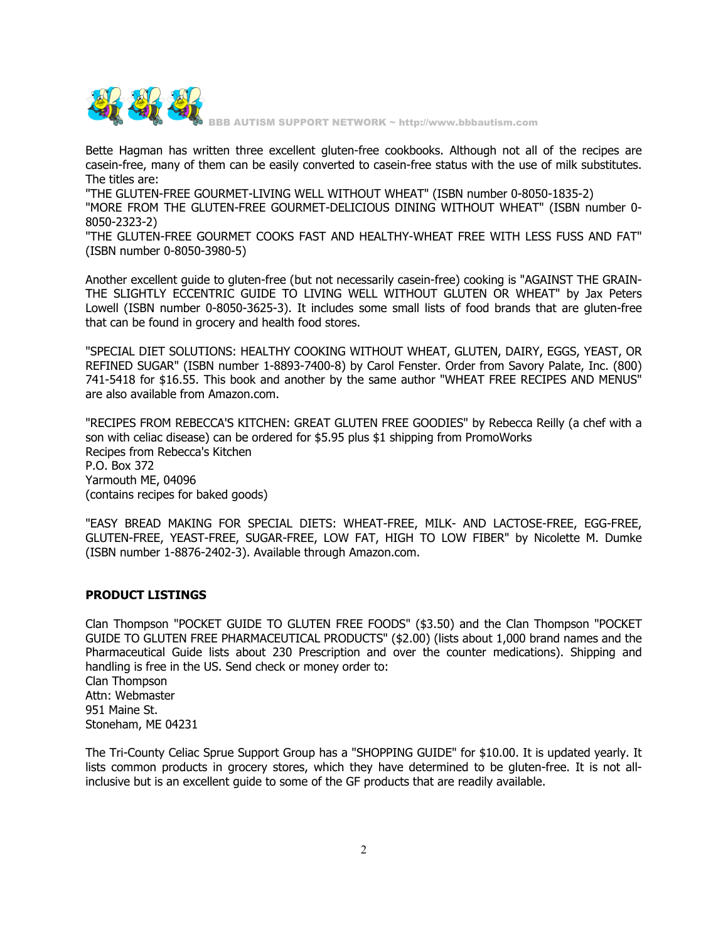

Bette Hagman has written three excellent gluten-free cookbooks. Although not all of the recipes are casein-free, many of them can be easily converted to casein-free status with the use of milk substitutes. The titles are:

"THE GLUTEN-FREE GOURMET-LIVING WELL WITHOUT WHEAT" (ISBN number 0-8050-1835-2)

"MORE FROM THE GLUTEN-FREE GOURMET-DELICIOUS DINING WITHOUT WHEAT" (ISBN number 0- 8050-2323-2)

"THE GLUTEN-FREE GOURMET COOKS FAST AND HEALTHY-WHEAT FREE WITH LESS FUSS AND FAT" (ISBN number 0-8050-3980-5)

Another excellent guide to gluten-free (but not necessarily casein-free) cooking is "AGAINST THE GRAIN-THE SLIGHTLY ECCENTRIC GUIDE TO LIVING WELL WITHOUT GLUTEN OR WHEAT" by Jax Peters Lowell (ISBN number 0-8050-3625-3). It includes some small lists of food brands that are gluten-free that can be found in grocery and health food stores.

"SPECIAL DIET SOLUTIONS: HEALTHY COOKING WITHOUT WHEAT, GLUTEN, DAIRY, EGGS, YEAST, OR REFINED SUGAR" (ISBN number 1-8893-7400-8) by Carol Fenster. Order from Savory Palate, Inc. (800) 741-5418 for \$16.55. This book and another by the same author "WHEAT FREE RECIPES AND MENUS" are also available from Amazon.com.

"RECIPES FROM REBECCA'S KITCHEN: GREAT GLUTEN FREE GOODIES" by Rebecca Reilly (a chef with a son with celiac disease) can be ordered for \$5.95 plus \$1 shipping from PromoWorks Recipes from Rebecca's Kitchen P.O. Box 372 Yarmouth ME, 04096 (contains recipes for baked goods)

"EASY BREAD MAKING FOR SPECIAL DIETS: WHEAT-FREE, MILK- AND LACTOSE-FREE, EGG-FREE, GLUTEN-FREE, YEAST-FREE, SUGAR-FREE, LOW FAT, HIGH TO LOW FIBER" by Nicolette M. Dumke (ISBN number 1-8876-2402-3). Available through Amazon.com.

## **PRODUCT LISTINGS**

Clan Thompson "POCKET GUIDE TO GLUTEN FREE FOODS" (\$3.50) and the Clan Thompson "POCKET GUIDE TO GLUTEN FREE PHARMACEUTICAL PRODUCTS" (\$2.00) (lists about 1,000 brand names and the Pharmaceutical Guide lists about 230 Prescription and over the counter medications). Shipping and handling is free in the US. Send check or money order to: Clan Thompson Attn: Webmaster 951 Maine St. Stoneham, ME 04231

The Tri-County Celiac Sprue Support Group has a "SHOPPING GUIDE" for \$10.00. It is updated yearly. It lists common products in grocery stores, which they have determined to be gluten-free. It is not allinclusive but is an excellent guide to some of the GF products that are readily available.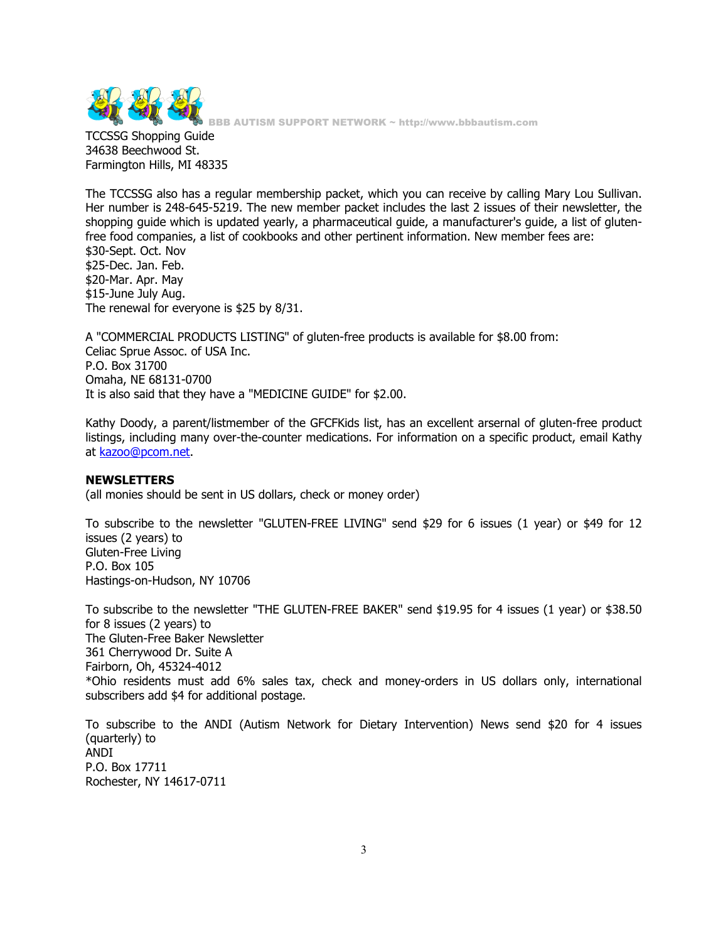

TCCSSG Shopping Guide 34638 Beechwood St. Farmington Hills, MI 48335

The TCCSSG also has a regular membership packet, which you can receive by calling Mary Lou Sullivan. Her number is 248-645-5219. The new member packet includes the last 2 issues of their newsletter, the shopping guide which is updated yearly, a pharmaceutical guide, a manufacturer's guide, a list of glutenfree food companies, a list of cookbooks and other pertinent information. New member fees are: \$30-Sept. Oct. Nov \$25-Dec. Jan. Feb. \$20-Mar. Apr. May \$15-June July Aug. The renewal for everyone is \$25 by 8/31.

A "COMMERCIAL PRODUCTS LISTING" of gluten-free products is available for \$8.00 from: Celiac Sprue Assoc. of USA Inc. P.O. Box 31700 Omaha, NE 68131-0700 It is also said that they have a "MEDICINE GUIDE" for \$2.00.

Kathy Doody, a parent/listmember of the GFCFKids list, has an excellent arsernal of gluten-free product listings, including many over-the-counter medications. For information on a specific product, email Kathy at kazoo@pcom.net.

#### **NEWSLETTERS**

(all monies should be sent in US dollars, check or money order)

To subscribe to the newsletter "GLUTEN-FREE LIVING" send \$29 for 6 issues (1 year) or \$49 for 12 issues (2 years) to Gluten-Free Living P.O. Box 105 Hastings-on-Hudson, NY 10706

To subscribe to the newsletter "THE GLUTEN-FREE BAKER" send \$19.95 for 4 issues (1 year) or \$38.50 for 8 issues (2 years) to The Gluten-Free Baker Newsletter 361 Cherrywood Dr. Suite A Fairborn, Oh, 45324-4012 \*Ohio residents must add 6% sales tax, check and money-orders in US dollars only, international subscribers add \$4 for additional postage.

To subscribe to the ANDI (Autism Network for Dietary Intervention) News send \$20 for 4 issues (quarterly) to ANDI P.O. Box 17711 Rochester, NY 14617-0711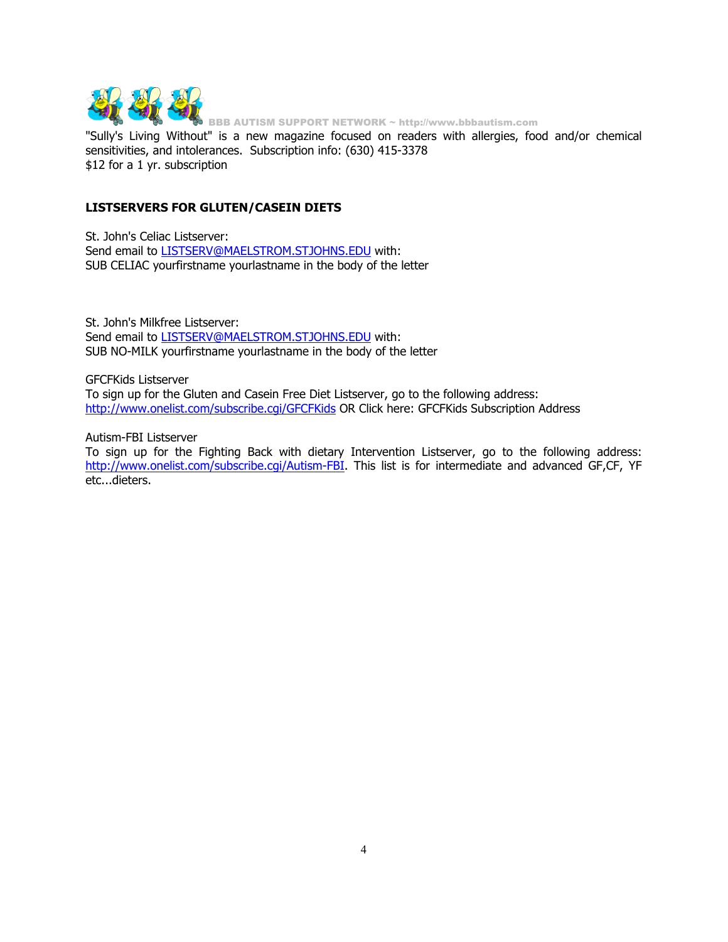

"Sully's Living Without" is a new magazine focused on readers with allergies, food and/or chemical sensitivities, and intolerances. Subscription info: (630) 415-3378 \$12 for a 1 yr. subscription

### **LISTSERVERS FOR GLUTEN/CASEIN DIETS**

St. John's Celiac Listserver: Send email to LISTSERV@MAELSTROM.STJOHNS.EDU with: SUB CELIAC yourfirstname yourlastname in the body of the letter

St. John's Milkfree Listserver: Send email to **LISTSERV@MAELSTROM.STJOHNS.EDU** with: SUB NO-MILK yourfirstname yourlastname in the body of the letter

GFCFKids Listserver To sign up for the Gluten and Casein Free Diet Listserver, go to the following address: http://www.onelist.com/subscribe.cgi/GFCFKids OR Click here: GFCFKids Subscription Address

Autism-FBI Listserver

To sign up for the Fighting Back with dietary Intervention Listserver, go to the following address: http://www.onelist.com/subscribe.cgi/Autism-FBI. This list is for intermediate and advanced GF,CF, YF etc...dieters.